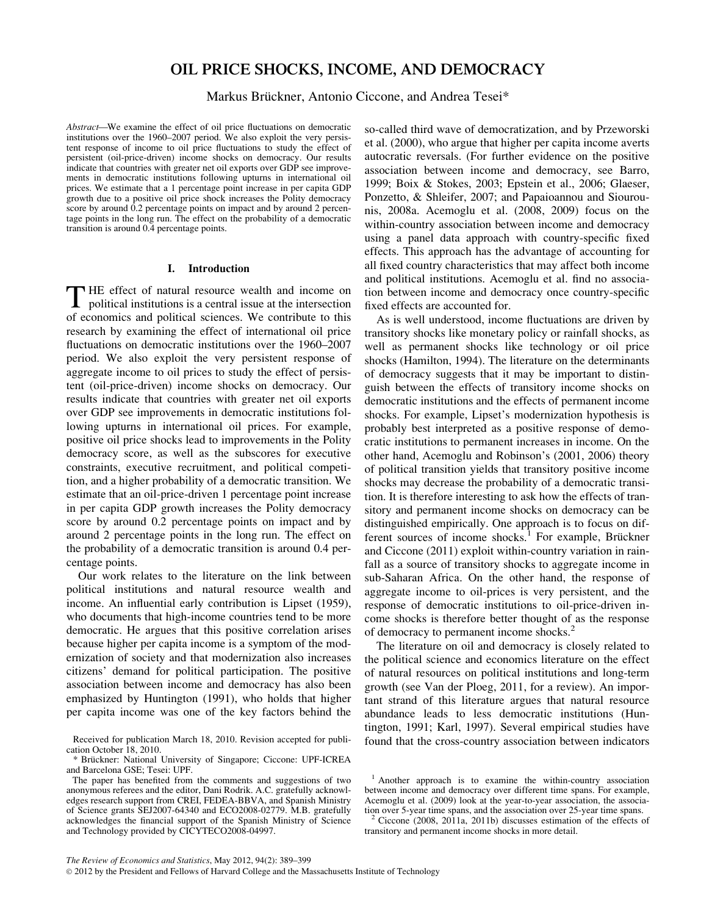# OIL PRICE SHOCKS, INCOME, AND DEMOCRACY

# Markus Brückner, Antonio Ciccone, and Andrea Tesei\*

Abstract—We examine the effect of oil price fluctuations on democratic institutions over the 1960–2007 period. We also exploit the very persistent response of income to oil price fluctuations to study the effect of persistent (oil-price-driven) income shocks on democracy. Our results indicate that countries with greater net oil exports over GDP see improvements in democratic institutions following upturns in international oil prices. We estimate that a 1 percentage point increase in per capita GDP growth due to a positive oil price shock increases the Polity democracy score by around 0.2 percentage points on impact and by around 2 percentage points in the long run. The effect on the probability of a democratic transition is around 0.4 percentage points.

# I. Introduction

THE effect of natural resource wealth and income on political institutions is a central issue at the intersection of economics and political sciences. We contribute to this research by examining the effect of international oil price fluctuations on democratic institutions over the 1960–2007 period. We also exploit the very persistent response of aggregate income to oil prices to study the effect of persistent (oil-price-driven) income shocks on democracy. Our results indicate that countries with greater net oil exports over GDP see improvements in democratic institutions following upturns in international oil prices. For example, positive oil price shocks lead to improvements in the Polity democracy score, as well as the subscores for executive constraints, executive recruitment, and political competition, and a higher probability of a democratic transition. We estimate that an oil-price-driven 1 percentage point increase in per capita GDP growth increases the Polity democracy score by around 0.2 percentage points on impact and by around 2 percentage points in the long run. The effect on the probability of a democratic transition is around 0.4 percentage points.

Our work relates to the literature on the link between political institutions and natural resource wealth and income. An influential early contribution is Lipset (1959), who documents that high-income countries tend to be more democratic. He argues that this positive correlation arises because higher per capita income is a symptom of the modernization of society and that modernization also increases citizens' demand for political participation. The positive association between income and democracy has also been emphasized by Huntington (1991), who holds that higher per capita income was one of the key factors behind the

so-called third wave of democratization, and by Przeworski et al. (2000), who argue that higher per capita income averts autocratic reversals. (For further evidence on the positive association between income and democracy, see Barro, 1999; Boix & Stokes, 2003; Epstein et al., 2006; Glaeser, Ponzetto, & Shleifer, 2007; and Papaioannou and Siourounis, 2008a. Acemoglu et al. (2008, 2009) focus on the within-country association between income and democracy using a panel data approach with country-specific fixed effects. This approach has the advantage of accounting for all fixed country characteristics that may affect both income and political institutions. Acemoglu et al. find no association between income and democracy once country-specific fixed effects are accounted for.

As is well understood, income fluctuations are driven by transitory shocks like monetary policy or rainfall shocks, as well as permanent shocks like technology or oil price shocks (Hamilton, 1994). The literature on the determinants of democracy suggests that it may be important to distinguish between the effects of transitory income shocks on democratic institutions and the effects of permanent income shocks. For example, Lipset's modernization hypothesis is probably best interpreted as a positive response of democratic institutions to permanent increases in income. On the other hand, Acemoglu and Robinson's (2001, 2006) theory of political transition yields that transitory positive income shocks may decrease the probability of a democratic transition. It is therefore interesting to ask how the effects of transitory and permanent income shocks on democracy can be distinguished empirically. One approach is to focus on different sources of income shocks.<sup>1</sup> For example, Brückner and Ciccone (2011) exploit within-country variation in rainfall as a source of transitory shocks to aggregate income in sub-Saharan Africa. On the other hand, the response of aggregate income to oil-prices is very persistent, and the response of democratic institutions to oil-price-driven income shocks is therefore better thought of as the response of democracy to permanent income shocks.<sup>2</sup>

The literature on oil and democracy is closely related to the political science and economics literature on the effect of natural resources on political institutions and long-term growth (see Van der Ploeg, 2011, for a review). An important strand of this literature argues that natural resource abundance leads to less democratic institutions (Huntington, 1991; Karl, 1997). Several empirical studies have

Received for publication March 18, 2010. Revision accepted for publi-<br>cation Corober 18, 2010.<br> **Received 18, 2010.** 

<sup>\*</sup> Brückner: National University of Singapore; Ciccone: UPF-ICREA and Barcelona GSE; Tesei: UPF.

The paper has benefited from the comments and suggestions of two anonymous referees and the editor, Dani Rodrik. A.C. gratefully acknowledges research support from CREI, FEDEA-BBVA, and Spanish Ministry of Science grants SEJ2007-64340 and ECO2008-02779. M.B. gratefully acknowledges the financial support of the Spanish Ministry of Science and Technology provided by CICYTECO2008-04997.

<sup>&</sup>lt;sup>1</sup> Another approach is to examine the within-country association between income and democracy over different time spans. For example, Acemoglu et al. (2009) look at the year-to-year association, the association over 5-year time spans, and the association over 25-year time spans.

Ciccone  $(2008, 2011a, 2011b)$  discusses estimation of the effects of transitory and permanent income shocks in more detail.

 $@$  2012 by the President and Fellows of Harvard College and the Massachusetts Institute of Technology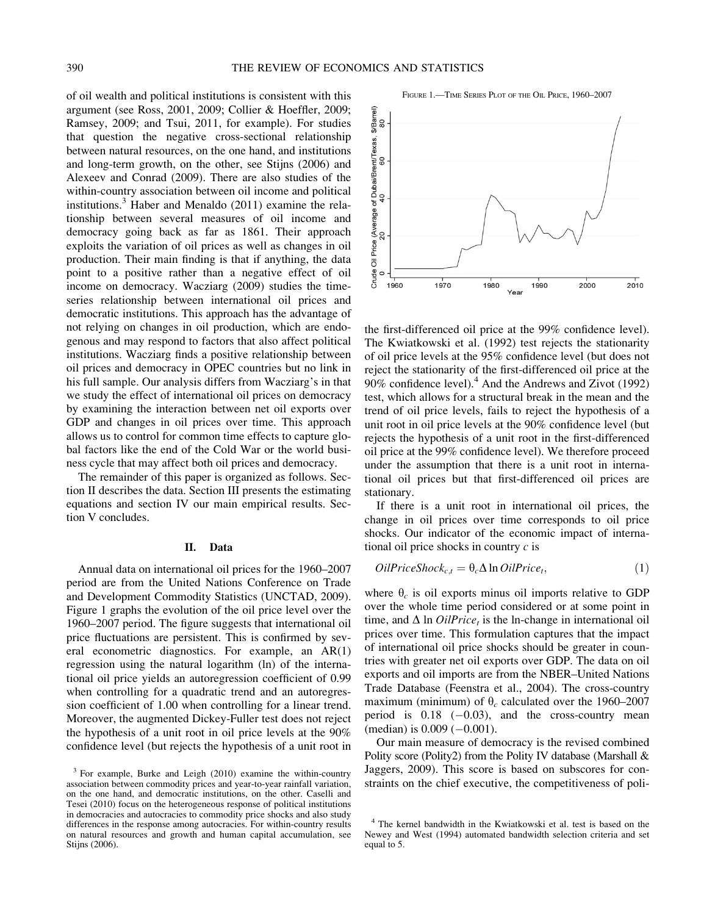FIGURE 1.<sup>-TIME</sup> SERIES PLOT OF THE OIL PRICE, 1960-2007

of oil wealth and political institutions is consistent with this argument (see Ross, 2001, 2009; Collier & Hoeffler, 2009; Ramsey, 2009; and Tsui, 2011, for example). For studies that question the negative cross-sectional relationship between natural resources, on the one hand, and institutions and long-term growth, on the other, see Stijns (2006) and Alexeev and Conrad (2009). There are also studies of the within-country association between oil income and political institutions.<sup>3</sup> Haber and Menaldo  $(2011)$  examine the relationship between several measures of oil income and democracy going back as far as 1861. Their approach exploits the variation of oil prices as well as changes in oil production. Their main finding is that if anything, the data point to a positive rather than a negative effect of oil income on democracy. Wacziarg (2009) studies the timeseries relationship between international oil prices and democratic institutions. This approach has the advantage of not relying on changes in oil production, which are endogenous and may respond to factors that also affect political institutions. Wacziarg finds a positive relationship between oil prices and democracy in OPEC countries but no link in his full sample. Our analysis differs from Wacziarg's in that we study the effect of international oil prices on democracy by examining the interaction between net oil exports over GDP and changes in oil prices over time. This approach allows us to control for common time effects to capture global factors like the end of the Cold War or the world business cycle that may affect both oil prices and democracy.

The remainder of this paper is organized as follows. Section II describes the data. Section III presents the estimating equations and section IV our main empirical results. Section V concludes.

### II. Data

Annual data on international oil prices for the 1960–2007 period are from the United Nations Conference on Trade and Development Commodity Statistics (UNCTAD, 2009). Figure 1 graphs the evolution of the oil price level over the 1960–2007 period. The figure suggests that international oil price fluctuations are persistent. This is confirmed by several econometric diagnostics. For example, an AR(1) regression using the natural logarithm (ln) of the international oil price yields an autoregression coefficient of 0.99 when controlling for a quadratic trend and an autoregression coefficient of 1.00 when controlling for a linear trend. Moreover, the augmented Dickey-Fuller test does not reject the hypothesis of a unit root in oil price levels at the 90% confidence level (but rejects the hypothesis of a unit root in



the first-differenced oil price at the 99% confidence level). The Kwiatkowski et al. (1992) test rejects the stationarity of oil price levels at the 95% confidence level (but does not reject the stationarity of the first-differenced oil price at the 90% confidence level). $4$  And the Andrews and Zivot (1992) test, which allows for a structural break in the mean and the trend of oil price levels, fails to reject the hypothesis of a unit root in oil price levels at the 90% confidence level (but rejects the hypothesis of a unit root in the first-differenced oil price at the 99% confidence level). We therefore proceed under the assumption that there is a unit root in international oil prices but that first-differenced oil prices are stationary.

If there is a unit root in international oil prices, the change in oil prices over time corresponds to oil price shocks. Our indicator of the economic impact of international oil price shocks in country  $c$  is

$$
OilPriceShock_{c,t} = \theta_c \Delta \ln OilPrice_t,
$$
\n(1)

where  $\theta_c$  is oil exports minus oil imports relative to GDP over the whole time period considered or at some point in time, and  $\Delta$  ln *OilPrice<sub>t</sub>* is the ln-change in international oil prices over time. This formulation captures that the impact of international oil price shocks should be greater in countries with greater net oil exports over GDP. The data on oil exports and oil imports are from the NBER–United Nations Trade Database (Feenstra et al., 2004). The cross-country maximum (minimum) of  $\theta_c$  calculated over the 1960–2007 period is  $0.18$   $(-0.03)$ , and the cross-country mean  $(median)$  is  $0.009$   $(-0.001)$ .

Our main measure of democracy is the revised combined Polity score (Polity2) from the Polity IV database (Marshall & Jaggers, 2009). This score is based on subscores for constraints on the chief executive, the competitiveness of poli-

<sup>3</sup> For example, Burke and Leigh (2010) examine the within-country association between commodity prices and year-to-year rainfall variation, on the one hand, and democratic institutions, on the other. Caselli and Tesei (2010) focus on the heterogeneous response of political institutions in democracies and autocracies to commodity price shocks and also study differences in the response among autocracies. For within-country results on natural resources and growth and human capital accumulation, see Stijns (2006).

<sup>&</sup>lt;sup>4</sup> The kernel bandwidth in the Kwiatkowski et al. test is based on the Newey and West (1994) automated bandwidth selection criteria and set equal to 5.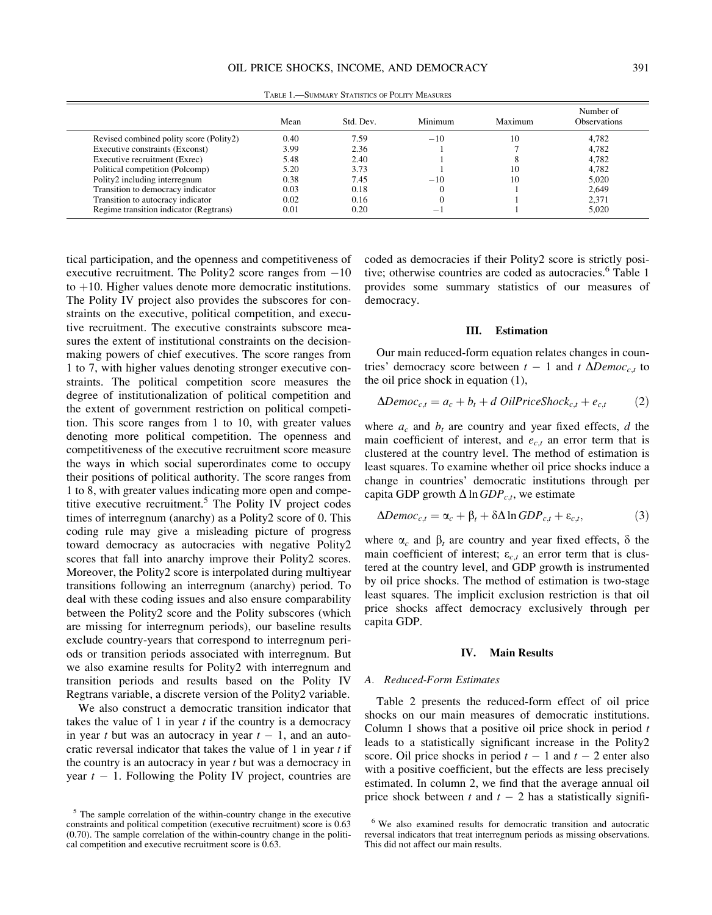TABLE 1.—SUMMARY STATISTICS OF POLITY MEASURES

Transition to autocracy indicator  $0.02$  0.16 0 1 2,371

Regime transition indicator (Regtrans)  $0.01$  0.20  $-1$ 

tical participation, and the openness and competitiveness of executive recruitment. The Polity2 score ranges from  $-10$ to  $+10$ . Higher values denote more democratic institutions. The Polity IV project also provides the subscores for constraints on the executive, political competition, and executive recruitment. The executive constraints subscore measures the extent of institutional constraints on the decisionmaking powers of chief executives. The score ranges from 1 to 7, with higher values denoting stronger executive constraints. The political competition score measures the degree of institutionalization of political competition and the extent of government restriction on political competition. This score ranges from 1 to 10, with greater values denoting more political competition. The openness and competitiveness of the executive recruitment score measure the ways in which social superordinates come to occupy their positions of political authority. The score ranges from 1 to 8, with greater values indicating more open and competitive executive recruitment.<sup>5</sup> The Polity IV project codes times of interregnum (anarchy) as a Polity2 score of 0. This coding rule may give a misleading picture of progress toward democracy as autocracies with negative Polity2 scores that fall into anarchy improve their Polity2 scores. Moreover, the Polity2 score is interpolated during multiyear transitions following an interregnum (anarchy) period. To deal with these coding issues and also ensure comparability between the Polity2 score and the Polity subscores (which are missing for interregnum periods), our baseline results exclude country-years that correspond to interregnum periods or transition periods associated with interregnum. But we also examine results for Polity2 with interregnum and transition periods and results based on the Polity IV Regtrans variable, a discrete version of the Polity2 variable.

Transition to democracy indicator

We also construct a democratic transition indicator that takes the value of 1 in year  $t$  if the country is a democracy in year t but was an autocracy in year  $t - 1$ , and an autocratic reversal indicator that takes the value of 1 in year t if the country is an autocracy in year  $t$  but was a democracy in year  $t - 1$ . Following the Polity IV project, countries are

coded as democracies if their Polity2 score is strictly positive; otherwise countries are coded as autocracies.<sup>6</sup> Table 1 provides some summary statistics of our measures of democracy.

1 1 5,020

#### III. Estimation

Our main reduced-form equation relates changes in countries' democracy score between  $t - 1$  and  $t \Delta Democ_{c,t}$  to the oil price shock in equation (1),

$$
\Delta Democ_{c,t} = a_c + b_t + d\,\text{OilPrice} Shock_{c,t} + e_{c,t} \tag{2}
$$

where  $a_c$  and  $b_t$  are country and year fixed effects, d the main coefficient of interest, and  $e_{c,t}$  an error term that is clustered at the country level. The method of estimation is least squares. To examine whether oil price shocks induce a change in countries' democratic institutions through per capita GDP growth  $\Delta$  ln GDP<sub>c,t</sub>, we estimate

$$
\Delta Democ_{c,t} = \alpha_c + \beta_t + \delta \Delta \ln GDP_{c,t} + \varepsilon_{c,t},\tag{3}
$$

where  $\alpha_c$  and  $\beta_t$  are country and year fixed effects,  $\delta$  the main coefficient of interest;  $\varepsilon_{c,t}$  an error term that is clustered at the country level, and GDP growth is instrumented by oil price shocks. The method of estimation is two-stage least squares. The implicit exclusion restriction is that oil price shocks affect democracy exclusively through per capita GDP.

# IV. Main Results

#### A. Reduced-Form Estimates

Table 2 presents the reduced-form effect of oil price shocks on our main measures of democratic institutions. Column 1 shows that a positive oil price shock in period  $t$ leads to a statistically significant increase in the Polity2 score. Oil price shocks in period  $t - 1$  and  $t - 2$  enter also with a positive coefficient, but the effects are less precisely estimated. In column 2, we find that the average annual oil price shock between t and  $t - 2$  has a statistically signifi-

<sup>&</sup>lt;sup>5</sup> The sample correlation of the within-country change in the executive constraints and political competition (executive recruitment) score is 0.63 (0.70). The sample correlation of the within-country change in the political competition and executive recruitment score is 0.63.

<sup>6</sup> We also examined results for democratic transition and autocratic reversal indicators that treat interregnum periods as missing observations. This did not affect our main results.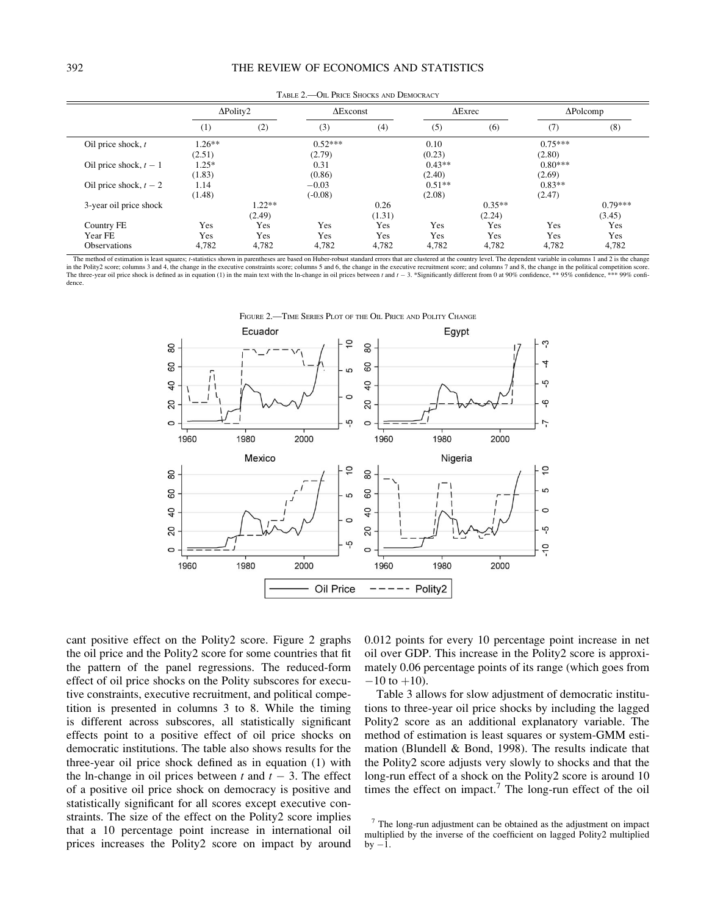| .<br>OIL I MCL DHOCKS INTO DEMOCKING |                  |          |           |                  |          |                |           |                  |
|--------------------------------------|------------------|----------|-----------|------------------|----------|----------------|-----------|------------------|
|                                      | $\Delta$ Polity2 |          |           | $\Delta$ Exconst |          | $\Delta$ Exrec |           | $\Delta$ Polcomp |
|                                      | (1)              | (2)      | (3)       | (4)              | (5)      | (6)            | (7)       | (8)              |
| Oil price shock, $t$                 | $1.26**$         |          | $0.52***$ |                  | 0.10     |                | $0.75***$ |                  |
|                                      | (2.51)           |          | (2.79)    |                  | (0.23)   |                | (2.80)    |                  |
| Oil price shock, $t - 1$             | $1.25*$          |          | 0.31      |                  | $0.43**$ |                | $0.80***$ |                  |
|                                      | (1.83)           |          | (0.86)    |                  | (2.40)   |                | (2.69)    |                  |
| Oil price shock, $t - 2$             | 1.14             |          | $-0.03$   |                  | $0.51**$ |                | $0.83**$  |                  |
|                                      | (1.48)           |          | $(-0.08)$ |                  | (2.08)   |                | (2.47)    |                  |
| 3-year oil price shock               |                  | $1.22**$ |           | 0.26             |          | $0.35**$       |           | $0.79***$        |
|                                      |                  | (2.49)   |           | (1.31)           |          | (2.24)         |           | (3.45)           |
| Country FE                           | Yes              | Yes      | Yes       | Yes              | Yes      | Yes            | Yes       | Yes              |
| Year FE                              | Yes              | Yes      | Yes       | Yes              | Yes      | Yes            | Yes       | Yes              |
| <b>Observations</b>                  | 4,782            | 4,782    | 4,782     | 4,782            | 4,782    | 4,782          | 4,782     | 4,782            |

TABLE 2.—OIL PRICE SHOCKS AND DEMOCRACY

The method of estimation is least squares; t-statistics shown in parentheses are based on Huber-robust standard errors that are clustered at the country level. The dependent variable in columns 1 and 2 is the change in the Polity2 score; columns 3 and 4, the change in the executive constraints score; columns 5 and 6, the change in the executive recruitment score; and columns 7 and 8, the change in the political competition score.<br>The dence.



cant positive effect on the Polity2 score. Figure 2 graphs the oil price and the Polity2 score for some countries that fit the pattern of the panel regressions. The reduced-form effect of oil price shocks on the Polity subscores for executive constraints, executive recruitment, and political competition is presented in columns 3 to 8. While the timing is different across subscores, all statistically significant effects point to a positive effect of oil price shocks on democratic institutions. The table also shows results for the three-year oil price shock defined as in equation (1) with the ln-change in oil prices between  $t$  and  $t - 3$ . The effect of a positive oil price shock on democracy is positive and statistically significant for all scores except executive constraints. The size of the effect on the Polity2 score implies that a 10 percentage point increase in international oil prices increases the Polity2 score on impact by around

0.012 points for every 10 percentage point increase in net oil over GDP. This increase in the Polity2 score is approximately 0.06 percentage points of its range (which goes from  $-10$  to  $+10$ ).

Table 3 allows for slow adjustment of democratic institutions to three-year oil price shocks by including the lagged Polity2 score as an additional explanatory variable. The method of estimation is least squares or system-GMM estimation (Blundell & Bond, 1998). The results indicate that the Polity2 score adjusts very slowly to shocks and that the long-run effect of a shock on the Polity2 score is around 10 times the effect on impact.<sup>7</sup> The long-run effect of the oil

 $<sup>7</sup>$  The long-run adjustment can be obtained as the adjustment on impact</sup> multiplied by the inverse of the coefficient on lagged Polity2 multiplied  $by -1$ .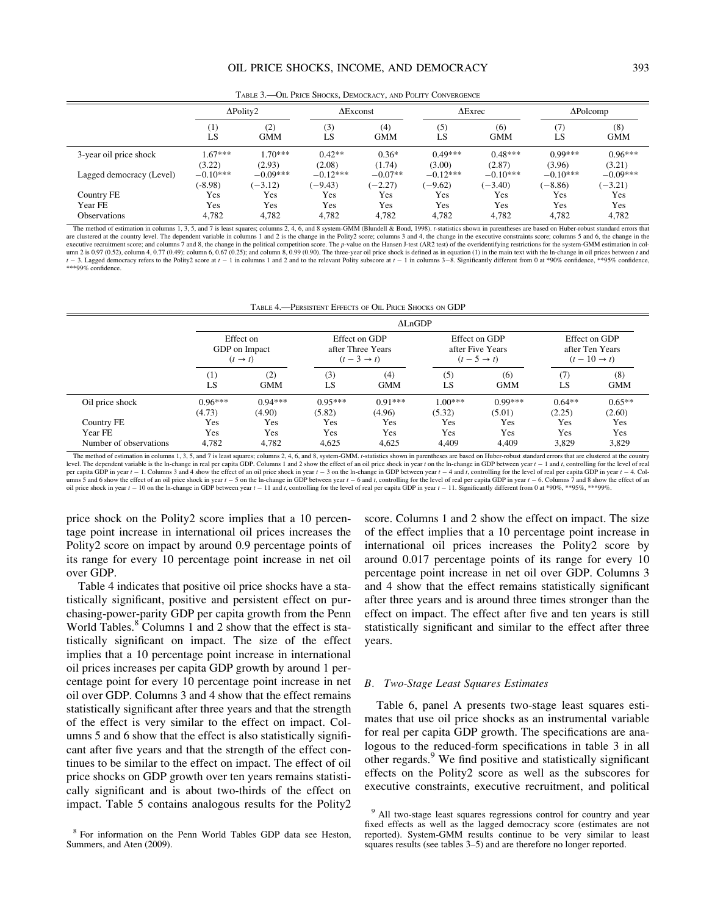|                          | $\Delta$ Polity2 |                   |            | $\Delta$ Exconst  |            | $\Delta$ Exrec    |            | $\Delta$ Polcomp  |
|--------------------------|------------------|-------------------|------------|-------------------|------------|-------------------|------------|-------------------|
|                          | (1)<br>LS        | (2)<br><b>GMM</b> | (3)<br>LS  | (4)<br><b>GMM</b> | (5)<br>LS  | (6)<br><b>GMM</b> | (7)<br>LS  | (8)<br><b>GMM</b> |
| 3-year oil price shock   | $1.67***$        | $1.70***$         | $0.42**$   | $0.36*$           | $0.49***$  | $0.48***$         | $0.99***$  | $0.96***$         |
|                          | (3.22)           | (2.93)            | (2.08)     | (1.74)            | (3.00)     | (2.87)            | (3.96)     | (3.21)            |
| Lagged democracy (Level) | $-0.10***$       | $-0.09***$        | $-0.12***$ | $-0.07**$         | $-0.12***$ | $-0.10***$        | $-0.10***$ | $-0.09***$        |
|                          | $(-8.98)$        | $(-3.12)$         | $(-9.43)$  | $(-2.27)$         | $(-9.62)$  | $(-3.40)$         | $(-8.86)$  | $(-3.21)$         |
| Country FE               | Yes              | Yes               | Yes        | Yes               | Yes        | Yes               | Yes        | Yes               |
| Year FE                  | Yes              | Yes               | Yes        | Yes               | Yes        | Yes               | Yes        | Yes               |
| Observations             | 4.782            | 4.782             | 4,782      | 4,782             | 4,782      | 4,782             | 4,782      | 4,782             |

TABLE 3.—OIL PRICE SHOCKS, DEMOCRACY, AND POLITY CONVERGENCE

The method of estimation in columns 1, 3, 5, and 7 is least squares; columns 2, 4, 6, and 8 system-GMM (Blundell & Bond, 1998). t-statistics shown in parentheses are based on Huber-robust standard errors that are clustered at the country level. The dependent variable in columns 1 and 2 is the change in the Polity2 score; columns 3 and 4, the change in the executive constraints score; columns 5 and 6, the change in the executive recruitment score; and columns 7 and 8, the change in the political competition score. The p-value on the Hansen J-test (AR2 test) of the overidentifying restrictions for the system-GMM estimation in column 2 is 0.97 (0.52), column 4, 0.77 (0.49); column 6, 0.67 (0.25); and column 8, 0.99 (0.90). The three-year oil price shock is defined as in equation (1) in the main text with the In-change in oil prices between t and  $t-3$ . Lagged democracy refers to the Polity2 score at  $t-1$  in columns 1 and 2 and to the relevant Polity subscore at  $t-1$  in columns 3-8. Significantly different from 0 at \*90% confidence, \*\*95% confidence, \*\*\*99% confidence.

| TABLE 4. PERSISTENT EFFECTS OF OIL PRICE SHOCKS ON GDP |  |  |  |
|--------------------------------------------------------|--|--|--|
|                                                        |  |  |  |

|                        |                                                   | $\Delta$ LnGDP      |                                                             |                     |                                                            |                     |                                                            |                    |  |
|------------------------|---------------------------------------------------|---------------------|-------------------------------------------------------------|---------------------|------------------------------------------------------------|---------------------|------------------------------------------------------------|--------------------|--|
|                        | Effect on<br>GDP on Impact<br>$(t \rightarrow t)$ |                     | Effect on GDP<br>after Three Years<br>$(t-3 \rightarrow t)$ |                     | Effect on GDP<br>after Five Years<br>$(t-5 \rightarrow t)$ |                     | Effect on GDP<br>after Ten Years<br>$(t-10 \rightarrow t)$ |                    |  |
|                        | $^{(1)}$<br>LS                                    | (2)<br><b>GMM</b>   | (3)<br>LS                                                   | (4)<br><b>GMM</b>   | (5)<br>LS                                                  | (6)<br><b>GMM</b>   | (7)<br>LS                                                  | (8)<br><b>GMM</b>  |  |
| Oil price shock        | $0.96***$<br>(4.73)                               | $0.94***$<br>(4.90) | $0.95***$<br>(5.82)                                         | $0.91***$<br>(4.96) | $1.00***$<br>(5.32)                                        | $0.99***$<br>(5.01) | $0.64**$<br>(2.25)                                         | $0.65**$<br>(2.60) |  |
| Country FE             | Yes                                               | Yes                 | Yes                                                         | Yes                 | Yes                                                        | Yes                 | Yes                                                        | Yes                |  |
| Year FE                | Yes                                               | Yes                 | Yes                                                         | Yes                 | Yes                                                        | Yes                 | Yes                                                        | Yes                |  |
| Number of observations | 4.782                                             | 4.782               | 4,625                                                       | 4,625               | 4.409                                                      | 4.409               | 3,829                                                      | 3,829              |  |

The method of estimation in columns 1, 3, 5, and 7 is least squares; columns 2, 4, 6, and 8, system-GMM. t-statistics shown in parentheses are based on Huber-robust standard errors that are clustered at the country level. The dependent variable is the ln-change in real per capita GDP. Columns 1 and 2 show the effect of an oil price shock in year t on the ln-change in GDP between year  $t-1$  and t, controlling for the level of real per capita GDP in year  $t - 1$ . Columns 3 and 4 show the effect of an oil price shock in year  $t - 3$  on the ln-change in GDP between year  $t - 4$  and t, controlling for the level of real per capita GDP in year  $t - 4$ . Columns 5 and 6 show the effect of an oil price shock in year  $t - 5$  on the ln-change in GDP between year  $t - 6$  and t, controlling for the level of real per capita GDP in year  $t - 6$ . Columns 7 and 8 show the effect of an oil price shock in year  $t-10$  on the ln-change in GDP between year  $t-11$  and t, controlling for the level of real per capita GDP in year  $t-11$ . Significantly different from 0 at \*90%, \*\*95%, \*\*99%.

price shock on the Polity2 score implies that a 10 percentage point increase in international oil prices increases the Polity2 score on impact by around 0.9 percentage points of its range for every 10 percentage point increase in net oil over GDP.

Table 4 indicates that positive oil price shocks have a statistically significant, positive and persistent effect on purchasing-power-parity GDP per capita growth from the Penn World Tables.<sup>8</sup> Columns 1 and 2 show that the effect is statistically significant on impact. The size of the effect implies that a 10 percentage point increase in international oil prices increases per capita GDP growth by around 1 percentage point for every 10 percentage point increase in net oil over GDP. Columns 3 and 4 show that the effect remains statistically significant after three years and that the strength of the effect is very similar to the effect on impact. Columns 5 and 6 show that the effect is also statistically significant after five years and that the strength of the effect continues to be similar to the effect on impact. The effect of oil price shocks on GDP growth over ten years remains statistically significant and is about two-thirds of the effect on impact. Table 5 contains analogous results for the Polity2

score. Columns 1 and 2 show the effect on impact. The size of the effect implies that a 10 percentage point increase in international oil prices increases the Polity2 score by around 0.017 percentage points of its range for every 10 percentage point increase in net oil over GDP. Columns 3 and 4 show that the effect remains statistically significant after three years and is around three times stronger than the effect on impact. The effect after five and ten years is still statistically significant and similar to the effect after three years.

# B. Two-Stage Least Squares Estimates

Table 6, panel A presents two-stage least squares estimates that use oil price shocks as an instrumental variable for real per capita GDP growth. The specifications are analogous to the reduced-form specifications in table 3 in all other regards.<sup>9</sup> We find positive and statistically significant effects on the Polity2 score as well as the subscores for executive constraints, executive recruitment, and political

<sup>8</sup> For information on the Penn World Tables GDP data see Heston, Summers, and Aten (2009).

<sup>&</sup>lt;sup>9</sup> All two-stage least squares regressions control for country and year fixed effects as well as the lagged democracy score (estimates are not reported). System-GMM results continue to be very similar to least squares results (see tables 3–5) and are therefore no longer reported.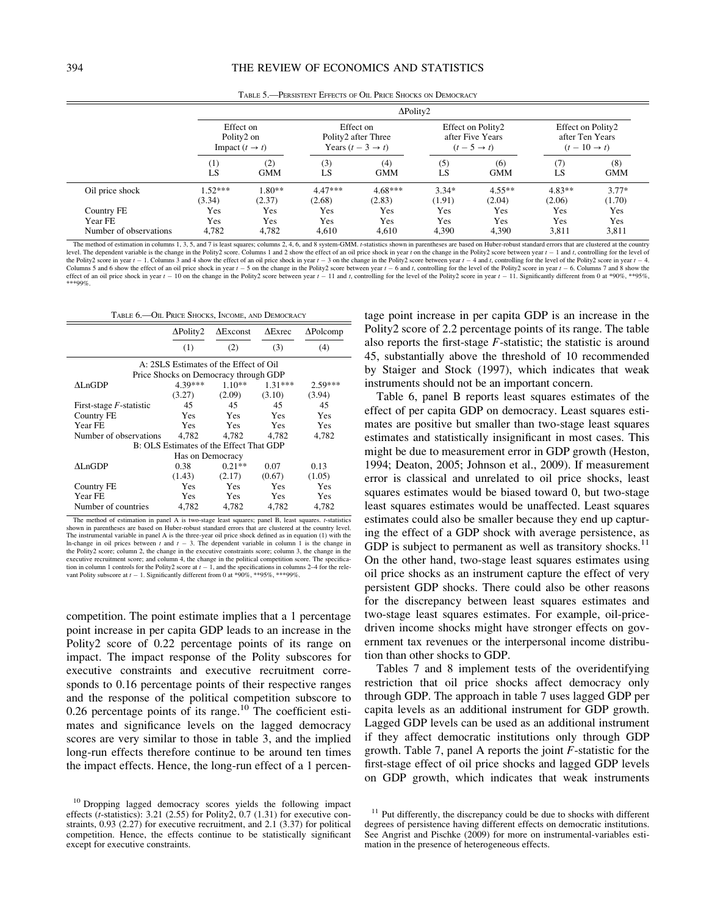|                        |                           |                                                       |                     | $\Delta$ Polity2                                                |                   |                                                                |                    |                                                                |  |
|------------------------|---------------------------|-------------------------------------------------------|---------------------|-----------------------------------------------------------------|-------------------|----------------------------------------------------------------|--------------------|----------------------------------------------------------------|--|
|                        |                           | Effect on<br>Polity2 on<br>Impact $(t \rightarrow t)$ |                     | Effect on<br>Polity2 after Three<br>Years $(t-3 \rightarrow t)$ |                   | Effect on Polity2<br>after Five Years<br>$(t-5 \rightarrow t)$ |                    | Effect on Polity2<br>after Ten Years<br>$(t-10 \rightarrow t)$ |  |
|                        | $\scriptstyle{(1)}$<br>LS | (2)<br><b>GMM</b>                                     | (3)<br>LS           | (4)<br><b>GMM</b>                                               | (5)<br>LS         | (6)<br><b>GMM</b>                                              | (7)<br>LS          | (8)<br><b>GMM</b>                                              |  |
| Oil price shock        | $.52***$<br>(3.34)        | $1.80**$<br>(2.37)                                    | $4.47***$<br>(2.68) | $4.68***$<br>(2.83)                                             | $3.34*$<br>(1.91) | $4.55***$<br>(2.04)                                            | $4.83**$<br>(2.06) | $3.77*$<br>(1.70)                                              |  |
| Country FE<br>Year FE  | Yes<br>Yes                | Yes<br>Yes                                            | Yes<br><b>Yes</b>   | Yes<br>Yes                                                      | Yes<br>Yes        | Yes<br>Yes                                                     | Yes<br>Yes         | Yes<br><b>Yes</b>                                              |  |
| Number of observations | 4.782                     | 4.782                                                 | 4.610               | 4.610                                                           | 4.390             | 4.390                                                          | 3.811              | 3,811                                                          |  |

TABLE 5.—PERSISTENT EFFECTS OF OIL PRICE SHOCKS ON DEMOCRACY

The method of estimation in columns 1, 3, 5, and 7 is least squares; columns 2, 4, 6, and 8 system-GMM. t-statistics shown in parentheses are based on Huber-robust standard errors that are clustered at the country level. The dependent variable is the change in the Polity2 score. Columns 1 and 2 show the effect of an oil price shock in year t on the change in the Polity2 score between year  $t - 1$  and t, controlling for the level of the Polity2 score in year  $t-1$ . Columns 3 and 4 show the effect of an oil price shock in year  $t-3$  on the change in the Polity2 score between year  $t-4$  and t, controlling for the level of the Polity2 score in year  $t-4$ Columns  $5$  and  $6$  show the effect of an oil price shock in year  $t$  $-5$  on the change in the Polity2 score between year  $t - 6$  and t, controlling for the level of the Polity2 score in year  $t - 6$  $-6.$  Columns 7 and 8 effect of an oil price shock in year  $t - 10$  on the change in the Polity2 score between year  $t - 11$  and t, controlling for the level of the Polity2 score in year  $t - 11$ . Significantly different from 0 at \*90%, \*\*95%, \*\*\*99%.

| TABLE 6. OIL PRICE SHOCKS, INCOME, AND DEMOCRACY |                  |                                         |                |                  |  |  |
|--------------------------------------------------|------------------|-----------------------------------------|----------------|------------------|--|--|
|                                                  | $\Delta$ Polity2 | $\Delta$ Exconst                        | $\Delta$ Exrec | $\Delta$ Polcomp |  |  |
|                                                  | (1)              | (2)                                     | (3)            | (4)              |  |  |
|                                                  |                  | A: 2SLS Estimates of the Effect of Oil  |                |                  |  |  |
|                                                  |                  | Price Shocks on Democracy through GDP   |                |                  |  |  |
| AL nGDP                                          | 4.39***          | $1.10**$                                | $1.31***$      | $2.59***$        |  |  |
|                                                  | (3.27)           | (2.09)                                  | (3.10)         | (3.94)           |  |  |
| First-stage $F$ -statistic                       | 45               | 45                                      | 45             | 45               |  |  |
| Country FE                                       | Yes              | <b>Yes</b>                              | Yes            | Yes              |  |  |
| Year FE                                          | <b>Yes</b>       | <b>Yes</b>                              | Yes            | Yes              |  |  |
| Number of observations                           | 4.782            | 4.782                                   | 4.782          | 4.782            |  |  |
|                                                  |                  | B: OLS Estimates of the Effect That GDP |                |                  |  |  |
|                                                  | Has on Democracy |                                         |                |                  |  |  |
| AL nGDP                                          | 0.38             | $0.21**$                                | 0.07           | 0.13             |  |  |
|                                                  | (1.43)           | (2.17)                                  | (0.67)         | (1.05)           |  |  |
| Country FE                                       | <b>Yes</b>       | <b>Yes</b>                              | Yes            | Yes              |  |  |
| Year FE                                          | <b>Yes</b>       | <b>Yes</b>                              | <b>Yes</b>     | Yes              |  |  |
| Number of countries                              | 4.782            | 4.782                                   | 4.782          | 4.782            |  |  |

The method of estimation in panel A is two-stage least squares; panel B, least squares. t-statistics shown in parentheses are based on Huber-robust standard errors that are clustered at the country level. The instrumental variable in panel A is the three-year oil price shock defined as in equation (1) with the In-change in oil prices between  $t$  and  $t - 3$ . The dependent variable in column 1 is the change in the Polity2 score; column 2, the change in the executive constraints score; column 3, the change in the executive recruitment score; and column 4, the change in the political competition score. The specification in column 1 controls for the Polity2 score at  $t - 1$ , and the specifications in columns 2–4 for the rele-<br>vant Polity subscore at  $t - 1$ . Significantly different from 0 at \*90%, \*\*95%, \*\*\*99%.

competition. The point estimate implies that a 1 percentage point increase in per capita GDP leads to an increase in the Polity2 score of 0.22 percentage points of its range on impact. The impact response of the Polity subscores for executive constraints and executive recruitment corresponds to 0.16 percentage points of their respective ranges and the response of the political competition subscore to 0.26 percentage points of its range.<sup>10</sup> The coefficient estimates and significance levels on the lagged democracy scores are very similar to those in table 3, and the implied long-run effects therefore continue to be around ten times the impact effects. Hence, the long-run effect of a 1 percen-

tage point increase in per capita GDP is an increase in the Polity2 score of 2.2 percentage points of its range. The table also reports the first-stage  $F$ -statistic; the statistic is around 45, substantially above the threshold of 10 recommended by Staiger and Stock (1997), which indicates that weak instruments should not be an important concern.

Table 6, panel B reports least squares estimates of the effect of per capita GDP on democracy. Least squares estimates are positive but smaller than two-stage least squares estimates and statistically insignificant in most cases. This might be due to measurement error in GDP growth (Heston, 1994; Deaton, 2005; Johnson et al., 2009). If measurement error is classical and unrelated to oil price shocks, least squares estimates would be biased toward 0, but two-stage least squares estimates would be unaffected. Least squares estimates could also be smaller because they end up capturing the effect of a GDP shock with average persistence, as GDP is subject to permanent as well as transitory shocks.<sup>11</sup> On the other hand, two-stage least squares estimates using oil price shocks as an instrument capture the effect of very persistent GDP shocks. There could also be other reasons for the discrepancy between least squares estimates and two-stage least squares estimates. For example, oil-pricedriven income shocks might have stronger effects on government tax revenues or the interpersonal income distribution than other shocks to GDP.

Tables 7 and 8 implement tests of the overidentifying restriction that oil price shocks affect democracy only through GDP. The approach in table 7 uses lagged GDP per capita levels as an additional instrument for GDP growth. Lagged GDP levels can be used as an additional instrument if they affect democratic institutions only through GDP growth. Table 7, panel A reports the joint F-statistic for the first-stage effect of oil price shocks and lagged GDP levels on GDP growth, which indicates that weak instruments

<sup>&</sup>lt;sup>10</sup> Dropping lagged democracy scores yields the following impact effects ( $t$ -statistics): 3.21 (2.55) for Polity2, 0.7 (1.31) for executive constraints, 0.93 (2.27) for executive recruitment, and 2.1 (3.37) for political competition. Hence, the effects continue to be statistically significant except for executive constraints.

<sup>&</sup>lt;sup>11</sup> Put differently, the discrepancy could be due to shocks with different degrees of persistence having different effects on democratic institutions. See Angrist and Pischke (2009) for more on instrumental-variables estimation in the presence of heterogeneous effects.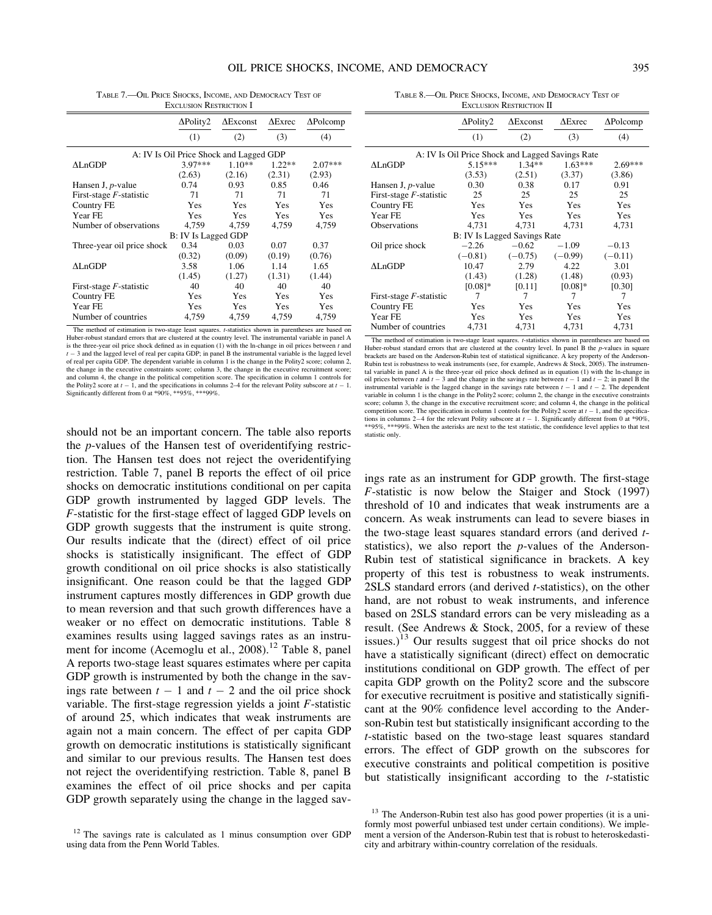|                            | $\Delta$ Polity2    | $\Delta$ Exconst                        | $\Delta$ Exrec | $\Delta$ Polcomp |
|----------------------------|---------------------|-----------------------------------------|----------------|------------------|
|                            | (1)                 | (2)                                     | (3)            | (4)              |
|                            |                     | A: IV Is Oil Price Shock and Lagged GDP |                |                  |
| $\Lambda$ LnGDP            | 3.97***             | $1.10**$                                | $1.22**$       | $2.07***$        |
|                            | (2.63)              | (2.16)                                  | (2.31)         | (2.93)           |
| Hansen J, <i>p</i> -value  | 0.74                | 0.93                                    | 0.85           | 0.46             |
| First-stage $F$ -statistic | 71                  | 71                                      | 71             | 71               |
| Country FE                 | <b>Yes</b>          | Yes                                     | Yes            | Yes              |
| Year FE                    | Yes                 | Yes                                     | <b>Yes</b>     | Yes              |
| Number of observations     | 4,759               | 4,759                                   | 4,759          | 4,759            |
|                            | B: IV Is Lagged GDP |                                         |                |                  |
| Three-year oil price shock | 0.34                | 0.03                                    | 0.07           | 0.37             |
|                            | (0.32)              | (0.09)                                  | (0.19)         | (0.76)           |
| $\Lambda$ LnGDP            | 3.58                | 1.06                                    | 1.14           | 1.65             |
|                            | (1.45)              | (1.27)                                  | (1.31)         | (1.44)           |
| First-stage $F$ -statistic | 40                  | 40                                      | 40             | 40               |
| Country FE                 | Yes                 | Yes                                     | <b>Yes</b>     | Yes              |
| Year FE                    | Yes                 | Yes                                     | Yes            | Yes              |
| Number of countries        | 4,759               | 4,759                                   | 4,759          | 4,759            |
|                            |                     |                                         |                |                  |

TABLE 7.—OIL PRICE SHOCKS, INCOME, AND DEMOCRACY TEST OF EXCLUSION RESTRICTION I

The method of estimation is two-stage least squares. t-statistics shown in parentheses are based on Huber-robust standard errors that are clustered at the country level. The instrumental variable in panel A is the three-year oil price shock defined as in equation  $(1)$  with the ln-change in oil prices between t and  $t-3$  and the lagged level of real per capita GDP; in panel B the instrumental variable is the lagged level of real per capita GDP. The dependent variable in column 1 is the change in the Polity2 score; column 2, the change in the executive constraints score; column 3, the change in the executive recruitment score; and column 4, the change in the political competition score. The specification in column 1 controls for the Polity2 score at  $t - 1$ , and the specifications in columns 2–4 for the relevant Polity subscore at  $t - 1$ . Significantly different from 0 at \*90%, \*\*95%, \*\*\*99%.

should not be an important concern. The table also reports the p-values of the Hansen test of overidentifying restriction. The Hansen test does not reject the overidentifying restriction. Table 7, panel B reports the effect of oil price shocks on democratic institutions conditional on per capita GDP growth instrumented by lagged GDP levels. The F-statistic for the first-stage effect of lagged GDP levels on GDP growth suggests that the instrument is quite strong. Our results indicate that the (direct) effect of oil price shocks is statistically insignificant. The effect of GDP growth conditional on oil price shocks is also statistically insignificant. One reason could be that the lagged GDP instrument captures mostly differences in GDP growth due to mean reversion and that such growth differences have a weaker or no effect on democratic institutions. Table 8 examines results using lagged savings rates as an instrument for income (Acemoglu et al., 2008).<sup>12</sup> Table 8, panel A reports two-stage least squares estimates where per capita GDP growth is instrumented by both the change in the savings rate between  $t - 1$  and  $t - 2$  and the oil price shock variable. The first-stage regression yields a joint  $F$ -statistic of around 25, which indicates that weak instruments are again not a main concern. The effect of per capita GDP growth on democratic institutions is statistically significant and similar to our previous results. The Hansen test does not reject the overidentifying restriction. Table 8, panel B examines the effect of oil price shocks and per capita GDP growth separately using the change in the lagged sav-

TABLE 8.—OIL PRICE SHOCKS, INCOME, AND DEMOCRACY TEST OF EXCLUSION RESTRICTION II

|                                                  | $\Delta$ Polity2 | $\Delta$ Exconst             | $\Delta$ Exrec | $\Delta$ Polcomp |  |  |  |  |
|--------------------------------------------------|------------------|------------------------------|----------------|------------------|--|--|--|--|
|                                                  | (1)              | (2)                          | (3)            | (4)              |  |  |  |  |
| A: IV Is Oil Price Shock and Lagged Savings Rate |                  |                              |                |                  |  |  |  |  |
| $\Delta$ LnGDP                                   | $5.15***$        | $1.34**$                     | $1.63***$      | $2.69***$        |  |  |  |  |
|                                                  | (3.53)           | (2.51)                       | (3.37)         | (3.86)           |  |  |  |  |
| Hansen J, $p$ -value                             | 0.30             | 0.38                         | 0.17           | 0.91             |  |  |  |  |
| First-stage $F$ -statistic                       | 25               | 25                           | 25             | 25               |  |  |  |  |
| Country FE                                       | Yes              | <b>Yes</b>                   | <b>Yes</b>     | Yes              |  |  |  |  |
| Year FE                                          | <b>Yes</b>       | <b>Yes</b>                   | <b>Yes</b>     | Yes              |  |  |  |  |
| <b>Observations</b>                              | 4.731            | 4,731                        | 4.731          | 4,731            |  |  |  |  |
|                                                  |                  | B: IV Is Lagged Savings Rate |                |                  |  |  |  |  |
| Oil price shock                                  | $-2.26$          | $-0.62$                      | $-1.09$        | $-0.13$          |  |  |  |  |
|                                                  | $(-0.81)$        | $(-0.75)$                    | $(-0.99)$      | $(-0.11)$        |  |  |  |  |
| ALnGDP                                           | 10.47            | 2.79                         | 4.22           | 3.01             |  |  |  |  |
|                                                  | (1.43)           | (1.28)                       | (1.48)         | (0.93)           |  |  |  |  |
|                                                  | $[0.08]$ *       | [0.11]                       | $[0.08]$ *     | [0.30]           |  |  |  |  |
| First-stage $F$ -statistic                       | 7                | 7                            | 7              | 7                |  |  |  |  |
| Country FE                                       | Yes              | Yes                          | Yes            | Yes              |  |  |  |  |
| Year FE                                          | Yes              | Yes                          | <b>Yes</b>     | Yes              |  |  |  |  |
| Number of countries                              | 4,731            | 4,731                        | 4,731          | 4,731            |  |  |  |  |

The method of estimation is two-stage least squares. t-statistics shown in parentheses are based on Huber-robust standard errors that are clustered at the country level. In panel B the *p*-values in square brackets are based on the Anderson-Rubin test of statistical significance. A key property of the Anderson-Rubin test is robustness to weak instruments (see, for example, Andrews & Stock, 2005). The instrumental variable in panel A is the three-year oil price shock defined as in equation (1) with the ln-change in oil prices between t and  $t - 3$  and the change in the savings rate between  $t - 1$  and  $t - 2$ ; in panel B the instrumental variable is the lagged change in the savings rate between  $t - 1$  and  $t - 2$ . The dependent variable in column 1 is the change in the Polity2 score; column 2, the change in the executive constraints score; column 3, the change in the executive recruitment score; and column 4, the change in the political competition score. The specification in column 1 controls for the Polity2 score at  $t - 1$ , and the specifications in columns 2–4 for the relevant Polity subscore at  $t-1$ . Significantly different from 0 at \*90%, \*\*95%, \*\*\*99%. When the asterisks are next to the test statistic, the confidence level applies to that test statistic only.

ings rate as an instrument for GDP growth. The first-stage F-statistic is now below the Staiger and Stock (1997) threshold of 10 and indicates that weak instruments are a concern. As weak instruments can lead to severe biases in the two-stage least squares standard errors (and derived tstatistics), we also report the p-values of the Anderson-Rubin test of statistical significance in brackets. A key property of this test is robustness to weak instruments. 2SLS standard errors (and derived t-statistics), on the other hand, are not robust to weak instruments, and inference based on 2SLS standard errors can be very misleading as a result. (See Andrews & Stock, 2005, for a review of these issues.)<sup>13</sup> Our results suggest that oil price shocks do not have a statistically significant (direct) effect on democratic institutions conditional on GDP growth. The effect of per capita GDP growth on the Polity2 score and the subscore for executive recruitment is positive and statistically significant at the 90% confidence level according to the Anderson-Rubin test but statistically insignificant according to the t-statistic based on the two-stage least squares standard errors. The effect of GDP growth on the subscores for executive constraints and political competition is positive but statistically insignificant according to the t-statistic

 $12$  The savings rate is calculated as 1 minus consumption over GDP using data from the Penn World Tables.

<sup>&</sup>lt;sup>13</sup> The Anderson-Rubin test also has good power properties (it is a uniformly most powerful unbiased test under certain conditions). We implement a version of the Anderson-Rubin test that is robust to heteroskedasticity and arbitrary within-country correlation of the residuals.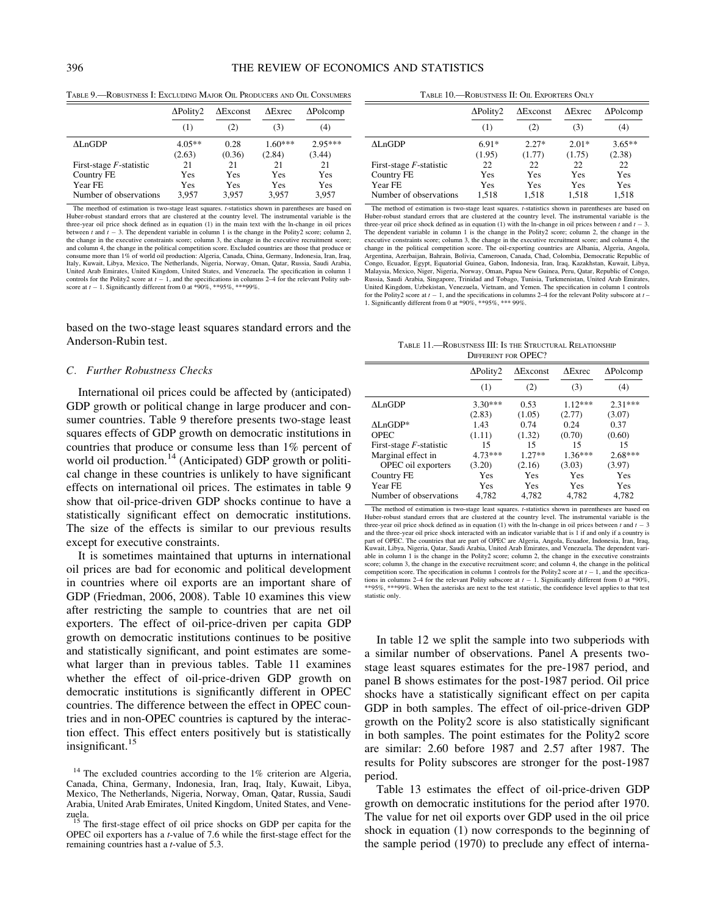# 396 THE REVIEW OF ECONOMICS AND STATISTICS

TABLE 9.—ROBUSTNESS I: EXCLUDING MAJOR OIL PRODUCERS AND OIL CONSUMERS

|                                   | $\Delta$ Polity2   | $\Delta$ Exconst | $\triangle$ Exrec   | $\Delta$ Polcomp    |
|-----------------------------------|--------------------|------------------|---------------------|---------------------|
|                                   | (1)                | (2)              | (3)                 | (4)                 |
| AL:nGDP                           | $4.05**$<br>(2.63) | 0.28<br>(0.36)   | $1.60***$<br>(2.84) | $2.95***$<br>(3.44) |
| First-stage $F$ -statistic        | 21                 | 21               | 21                  | 21                  |
| Country FE                        | Yes                | Yes              | Yes                 | Yes                 |
| Year FE<br>Number of observations | Yes<br>3,957       | Yes<br>3,957     | Yes<br>3,957        | Yes<br>3,957        |

The meethod of estimation is two-stage least squares, *t*-statistics shown in parentheses are based on Huber-robust standard errors that are clustered at the country level. The instrumental variable is the three-year oil price shock defined as in equation (1) in the main text with the ln-change in oil prices between t and  $t - 3$ . The dependent variable in column 1 is the change in the Polity2 score; column 2, the change in the executive constraints score; column 3, the change in the executive recruitment score; and column 4, the change in the political competition score. Excluded countries are those that produce or consume more than 1% of world oil production: Algeria, Canada, China, Germany, Indonesia, Iran, Iraq, Italy, Kuwait, Libya, Mexico, The Netherlands, Nigeria, Norway, Oman, Qatar, Russia, Saudi Arabia, United Arab Emirates, United Kingdom, United States, and Venezuela. The specification in column 1 controls for the Polity2 score at  $t - 1$ , and the specifications in columns 2–4 for the relevant Polity subscore at  $t - 1$ . Significantly different from 0 at \*90%, \*\*95%, \*\*\*99%.

based on the two-stage least squares standard errors and the Anderson-Rubin test.

### C. Further Robustness Checks

International oil prices could be affected by (anticipated) GDP growth or political change in large producer and consumer countries. Table 9 therefore presents two-stage least squares effects of GDP growth on democratic institutions in countries that produce or consume less than 1% percent of world oil production.<sup>14</sup> (Anticipated) GDP growth or political change in these countries is unlikely to have significant effects on international oil prices. The estimates in table 9 show that oil-price-driven GDP shocks continue to have a statistically significant effect on democratic institutions. The size of the effects is similar to our previous results except for executive constraints.

It is sometimes maintained that upturns in international oil prices are bad for economic and political development in countries where oil exports are an important share of GDP (Friedman, 2006, 2008). Table 10 examines this view after restricting the sample to countries that are net oil exporters. The effect of oil-price-driven per capita GDP growth on democratic institutions continues to be positive and statistically significant, and point estimates are somewhat larger than in previous tables. Table 11 examines whether the effect of oil-price-driven GDP growth on democratic institutions is significantly different in OPEC countries. The difference between the effect in OPEC countries and in non-OPEC countries is captured by the interaction effect. This effect enters positively but is statistically insignificant.<sup>15</sup>

TABLE 10.—ROBUSTNESS II: OIL EXPORTERS ONLY

|                            | $\Delta$ Polity2<br>(1) | $\Delta$ Exconst<br>(2) | $\Delta$ Exrec<br>(3) | $\Delta$ Polcomp<br>(4) |
|----------------------------|-------------------------|-------------------------|-----------------------|-------------------------|
|                            |                         |                         |                       |                         |
| $\Delta$ LnGDP             | $6.91*$                 | $2.27*$                 | $2.01*$               | $3.65**$                |
|                            | (1.95)                  | (1.77)                  | (1.75)                | (2.38)                  |
| First-stage $F$ -statistic | 22                      | 22                      | 22                    | 22                      |
| Country FE                 | Yes                     | Yes                     | Yes                   | Yes                     |
| Year FE                    | Yes                     | Yes                     | Yes                   | Yes                     |
| Number of observations     | 1.518                   | 1,518                   | 1.518                 | 1,518                   |

The method of estimation is two-stage least squares. t-statistics shown in parentheses are based on Huber-robust standard errors that are clustered at the country level. The instrumental variable is the three-year oil price shock defined as in equation (1) with the ln-change in oil prices between t and  $t - 3$ . The dependent variable in column 1 is the change in the Polity2 score; column 2, the change in the executive constraints score; column 3, the change in the executive recruitment score; and column 4, the change in the political competition score. The oil-exporting countries are Albania, Algeria, Angola, Argentina, Azerbaijan, Bahrain, Bolivia, Cameroon, Canada, Chad, Colombia, Democratic Republic of Congo, Ecuador, Egypt, Equatorial Guinea, Gabon, Indonesia, Iran, Iraq, Kazakhstan, Kuwait, Libya, Malaysia, Mexico, Niger, Nigeria, Norway, Oman, Papua New Guinea, Peru, Qatar, Republic of Congo, Russia, Saudi Arabia, Singapore, Trinidad and Tobago, Tunisia, Turkmenistan, United Arab Emirates, United Kingdom, Uzbekistan, Venezuela, Vietnam, and Yemen. The specification in column 1 controls for the Polity2 score at  $t - 1$ , and the specifications in columns 2–4 for the relevant Polity subscore at  $t - 1$ . Significantly different from 0 at \*90%, \*\*95%, \*\*\* 99%.

TABLE 11.—ROBUSTNESS III: IS THE STRUCTURAL RELATIONSHIP DIFFERENT FOR OPEC?

|                            | $\Delta$ Polity2 | $\Delta$ Exconst | $\Delta$ Exrec | $\Delta$ Polcomp |  |  |  |
|----------------------------|------------------|------------------|----------------|------------------|--|--|--|
|                            | (1)              | (2)              | (3)            | (4)              |  |  |  |
| $\Lambda$ LnGDP            | $3.30***$        | 0.53             | $1.12***$      | $2.31***$        |  |  |  |
|                            | (2.83)           | (1.05)           | (2.77)         | (3.07)           |  |  |  |
| $\Lambda$ LnGDP*           | 1.43             | 0.74             | 0.24           | 0.37             |  |  |  |
| <b>OPEC</b>                | (1.11)           | (1.32)           | (0.70)         | (0.60)           |  |  |  |
| First-stage $F$ -statistic | 15               | 15               | 15             | 15               |  |  |  |
| Marginal effect in         | $4.73***$        | $1.27**$         | $1.36***$      | $2.68***$        |  |  |  |
| OPEC oil exporters         | (3.20)           | (2.16)           | (3.03)         | (3.97)           |  |  |  |
| Country FE                 | Yes              | Yes              | Yes            | Yes              |  |  |  |
| Year FE                    | Yes              | Yes              | Yes            | Yes              |  |  |  |
| Number of observations     | 4,782            | 4.782            | 4.782          | 4,782            |  |  |  |

The method of estimation is two-stage least squares. t-statistics shown in parentheses are based on Huber-robust standard errors that are clustered at the country level. The instrumental variable is the three-year oil price shock defined as in equation (1) with the ln-change in oil prices between t and  $t - 3$ and the three-year oil price shock interacted with an indicator variable that is 1 if and only if a country is part of OPEC. The countries that are part of OPEC are Algeria, Angola, Ecuador, Indonesia, Iran, Iraq, Kuwait, Libya, Nigeria, Qatar, Saudi Arabia, United Arab Emirates, and Venezuela. The dependent variable in column 1 is the change in the Polity2 score; column 2, the change in the executive constraints score; column 3, the change in the executive recruitment score; and column 4, the change in the political competition score. The specification in column 1 controls for the Polity2 score at  $t - 1$ , and the specifications in columns 2–4 for the relevant Polity subscore at  $t - 1$ . Significantly different from 0 at \*90%, \*\*95%, \*\*\*99%. When the asterisks are next to the test statistic, the confidence level applies to that test statistic only.

In table 12 we split the sample into two subperiods with a similar number of observations. Panel A presents twostage least squares estimates for the pre-1987 period, and panel B shows estimates for the post-1987 period. Oil price shocks have a statistically significant effect on per capita GDP in both samples. The effect of oil-price-driven GDP growth on the Polity2 score is also statistically significant in both samples. The point estimates for the Polity2 score are similar: 2.60 before 1987 and 2.57 after 1987. The results for Polity subscores are stronger for the post-1987 period.

Table 13 estimates the effect of oil-price-driven GDP growth on democratic institutions for the period after 1970. The value for net oil exports over GDP used in the oil price shock in equation (1) now corresponds to the beginning of the sample period (1970) to preclude any effect of interna-

 $14$  The excluded countries according to the  $1\%$  criterion are Algeria, Canada, China, Germany, Indonesia, Iran, Iraq, Italy, Kuwait, Libya, Mexico, The Netherlands, Nigeria, Norway, Oman, Qatar, Russia, Saudi Arabia, United Arab Emirates, United Kingdom, United States, and Vene-

zuela.<br><sup>15</sup> The first-stage effect of oil price shocks on GDP per capita for the OPEC oil exporters has a t-value of 7.6 while the first-stage effect for the remaining countries hast a *t*-value of 5.3.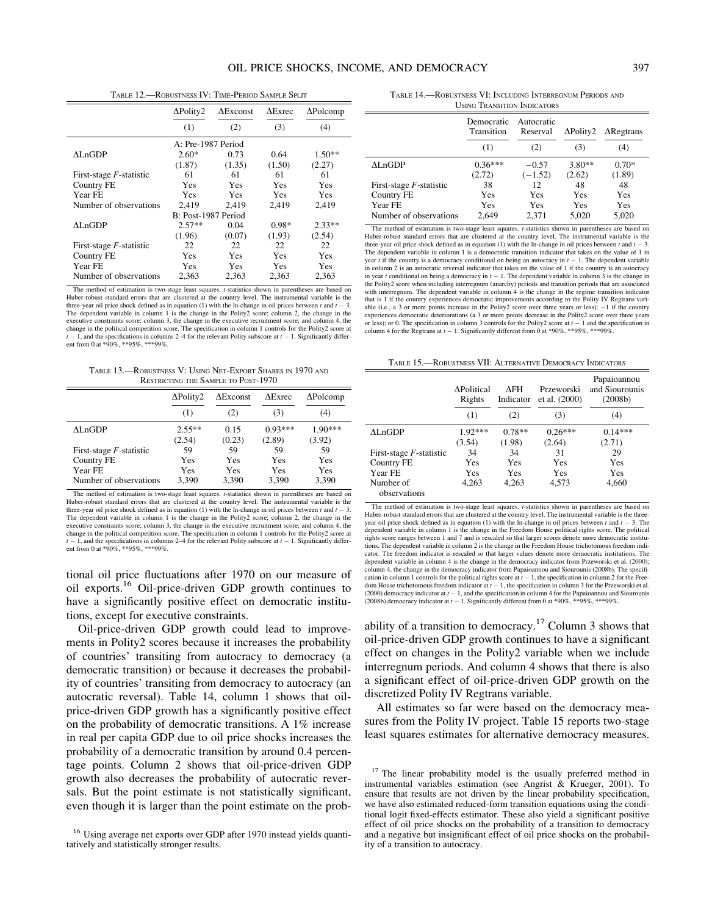TABLE 12.—ROBUSTNESS IV: TIME-PERIOD SAMPLE SPLIT

|                            | $\Delta$ Polity2    | $\Delta$ Exconst | $\Delta$ Exrec | $\Delta$ Polcomp |
|----------------------------|---------------------|------------------|----------------|------------------|
|                            | (1)                 | (2)              | (3)            | (4)              |
|                            | A: Pre-1987 Period  |                  |                |                  |
| $\Lambda$ LnGDP            | $2.60*$             | 0.73             | 0.64           | $1.50**$         |
|                            | (1.87)              | (1.35)           | (1.50)         | (2.27)           |
| First-stage $F$ -statistic | 61                  | 61               | 61             | 61               |
| Country FE                 | Yes                 | Yes              | Yes            | Yes              |
| Year FE                    | Yes                 | Yes              | Yes            | <b>Yes</b>       |
| Number of observations     | 2.419               | 2,419            | 2,419          | 2,419            |
|                            | B: Post-1987 Period |                  |                |                  |
| $\Lambda$ LnGDP            | $2.57**$            | 0.04             | 0.98*          | $2.33**$         |
|                            | (1.96)              | (0.07)           | (1.93)         | (2.54)           |
| First-stage $F$ -statistic | 22                  | 22               | 22             | 22               |
| Country FE                 | Yes                 | Yes              | Yes            | Yes              |
| Year FE                    | Yes                 | Yes              | Yes            | Yes              |
| Number of observations     | 2,363               | 2,363            | 2,363          | 2,363            |

The method of estimation is two-stage least squares. *t*-statistics shown in parentheses are based on Huber-robust standard errors that are clustered at the country level. The instrumental variable is the three-year oil price shock defined as in equation  $(1)$  with the ln-change in oil prices between t and t three-year oil price shock defined as in equation (1) with the ln-change in oil prices between  $t$  and  $t - 3$ .<br>The dependent variable in column 1 is the change in the Polity2 score; column 2, the change in the executive constraints score; column 3, the change in the executive recruitment score; and column 4, the change in the political competition score. The specification in column 1 controls for the Polity2 score at  $t - 1$ , and the specifications in columns 2–4 for the relevant Polity subscore at  $t - 1$ . Significantly different from 0 at \*90%, \*\*95%, \*\*\*99%.

TABLE 13.—ROBUSTNESS V: USING NET-EXPORT SHARES IN 1970 AND RESTRICTING THE SAMPLE TO POST-1970

|                            | $\Delta$ Polity2 | $\Delta$ Exconst | $\Delta$ Exrec | $\Delta$ Polcomp |
|----------------------------|------------------|------------------|----------------|------------------|
|                            | (1)              | (2)              | (3)            | (4)              |
| $\Lambda$ LnGDP            | $2.55**$         | 0.15             | $0.93***$      | $1.90***$        |
|                            | (2.54)           | (0.23)           | (2.89)         | (3.92)           |
| First-stage $F$ -statistic | 59               | 59               | 59             | 59               |
| Country FE                 | Yes              | Yes              | Yes            | Yes              |
| Year FE                    | Yes              | Yes              | Yes            | Yes              |
| Number of observations     | 3,390            | 3,390            | 3,390          | 3,390            |

The method of estimation is two-stage least squares. t-statistics shown in parentheses are based on Huber-robust standard errors that are clustered at the country level. The instrumental variable is the three-year oil price shock defined as in equation (1) with the ln-change in oil prices between  $t$  and  $t - 3$ . The dependent variable in column 1 is the change in the Polity2 score; column 2, the change in the executive constraints score; column 3, the change in the executive recruitment score; and column 4, the change in the political competition score. The specification in column 1 controls for the Polity2 score at  $t-1$ , and the specifications in columns 2–4 for the relevant Polity subscore at  $t-1$ . Significantly different from 0 at \*90%, \*\*95%, \*\*\*99%.

tional oil price fluctuations after 1970 on our measure of oil exports.16 Oil-price-driven GDP growth continues to have a significantly positive effect on democratic institutions, except for executive constraints.

Oil-price-driven GDP growth could lead to improvements in Polity2 scores because it increases the probability of countries' transiting from autocracy to democracy (a democratic transition) or because it decreases the probability of countries' transiting from democracy to autocracy (an autocratic reversal). Table 14, column 1 shows that oilprice-driven GDP growth has a significantly positive effect on the probability of democratic transitions. A 1% increase in real per capita GDP due to oil price shocks increases the probability of a democratic transition by around 0.4 percentage points. Column 2 shows that oil-price-driven GDP growth also decreases the probability of autocratic reversals. But the point estimate is not statistically significant, even though it is larger than the point estimate on the prob-

TABLE 14.—ROBUSTNESS VI: INCLUDING INTERREGNUM PERIODS AND USING TRANSITION INDICATORS

|                            | Democratic<br>Transition<br>(1) | Autocratic<br>Reserval<br>(2) | $\Delta$ Polity2<br>(3) | $\Delta$ Regtrans<br>(4) |
|----------------------------|---------------------------------|-------------------------------|-------------------------|--------------------------|
| $\Delta$ LnGDP             | $0.36***$<br>(2.72)             | $-0.57$<br>$(-1.52)$          | $3.80**$<br>(2.62)      | $0.70*$<br>(1.89)        |
| First-stage $F$ -statistic | 38                              | 12                            | 48                      | 48                       |
| Country FE                 | Yes                             | Yes                           | Yes                     | Yes                      |
| Year FE                    | Yes                             | Yes                           | Yes                     | Yes                      |
| Number of observations     | 2.649                           | 2,371                         | 5,020                   | 5,020                    |

The method of estimation is two-stage least squares. *t*-statistics shown in parentheses are based on Huber-robust standard errors that are clustered at the country level. The instrumental variable is the three-year oil price shock defined as in equation (1) with the ln-change in oil prices between t and  $t - 3$ . The dependent variable in column 1 is a democratic transition indicator that takes on the value of 1 in year t if the country is a democracy conditional on being an autocracy in  $t - 1$ . The dependent variable in column 2 is an autocratic reversal indicator that takes on the value of 1 if the country is an autocracy in year t conditional on being a democracy in  $t - 1$ . The dependent variable in column 3 is the change in the Polity2 score when including interregnum (anarchy) periods and transition periods that are associated with interregnum. The dependent variable in column 4 is the change in the regime transition indicator that is 1 if the country experiences democratic improvements according to the Polity IV Regtrans variable (i.e., a 3 or more points increase in the Polity2 score over three years or less); -1 if the country experiences democratic deteriorations (a 3 or more points decrease in the Polity2 score over three years or less); or 0. The specification in column 3 controls for the Polity2 score at  $t - 1$  and the specification in column 4 for the Regtrans at  $t - 1$ . Significantly different from 0 at  $*90\%, **95\%, **99\%$ .

TABLE 15.—ROBUSTNESS VII: ALTERNATIVE DEMOCRACY INDICATORS

|                            | <b>APolitical</b><br>Rights | ΛFΗ<br>Indicator | Przeworski<br>et al. $(2000)$ | Papaioannou<br>and Siourounis<br>(2008b) |  |
|----------------------------|-----------------------------|------------------|-------------------------------|------------------------------------------|--|
|                            | (1)                         | (2)              | (3)                           | (4)                                      |  |
| $\Lambda$ LnGDP            | $1.92***$                   | $0.78**$         | $0.26***$                     | $0.14***$                                |  |
|                            | (3.54)                      | (1.98)           | (2.64)                        | (2.71)                                   |  |
| First-stage $F$ -statistic | 34                          | 34               | 31                            | 29                                       |  |
| Country FE                 | Yes                         | Yes              | Yes                           | Yes                                      |  |
| Year FE                    | Yes                         | Yes              | Yes                           | Yes                                      |  |
| Number of<br>observations  | 4.263                       | 4,263            | 4,573                         | 4,660                                    |  |

The method of estimation is two-stage least squares. t-statistics shown in parentheses are based on Huber-robust standard errors that are clustered at the country level. The instrumental variable is the threeyear oil price shock defined as in equation (1) with the ln-change in oil prices between t and  $t - 3$ . The dependent variable in column 1 is the change in the Freedom House political rights score. The political rights score ranges between 1 and 7 and is rescaled so that larger scores denote more democratic institu-tions. The dependent variable in column 2 is the change in the Freedom House trichotomous freedom indicator. The freedom indicator is rescaled so that larger values denote more democratic institutions. The dependent variable in column 4 is the change in the democracy indicator from Przeworski et al. (2000); column 4, the change in the democracy indicator from Papaioannou and Siourounis (2008b). The specifi-cation in column 1 controls for the political rights score at t - 1, the specification in column 2 for the Freedom House trichotomous freedom indicator at  $t-1$ , the specification in column 3 for the Przeworski et al. (2000) democracy indicator at  $t - 1$ , and the specification in column 4 for the Papaioannou and Siourounis (2008b) democracy indicator at  $t - 1$ . Significantly different from 0 at \*90%, \*\*\*95%, \*\*\*99%.

ability of a transition to democracy.<sup>17</sup> Column 3 shows that oil-price-driven GDP growth continues to have a significant effect on changes in the Polity2 variable when we include interregnum periods. And column 4 shows that there is also a significant effect of oil-price-driven GDP growth on the discretized Polity IV Regtrans variable.

All estimates so far were based on the democracy measures from the Polity IV project. Table 15 reports two-stage least squares estimates for alternative democracy measures.

<sup>&</sup>lt;sup>16</sup> Using average net exports over GDP after 1970 instead yields quantitatively and statistically stronger results.

<sup>&</sup>lt;sup>17</sup> The linear probability model is the usually preferred method in instrumental variables estimation (see Angrist & Krueger, 2001). To ensure that results are not driven by the linear probability specification, we have also estimated reduced-form transition equations using the conditional logit fixed-effects estimator. These also yield a significant positive effect of oil price shocks on the probability of a transition to democracy and a negative but insignificant effect of oil price shocks on the probability of a transition to autocracy.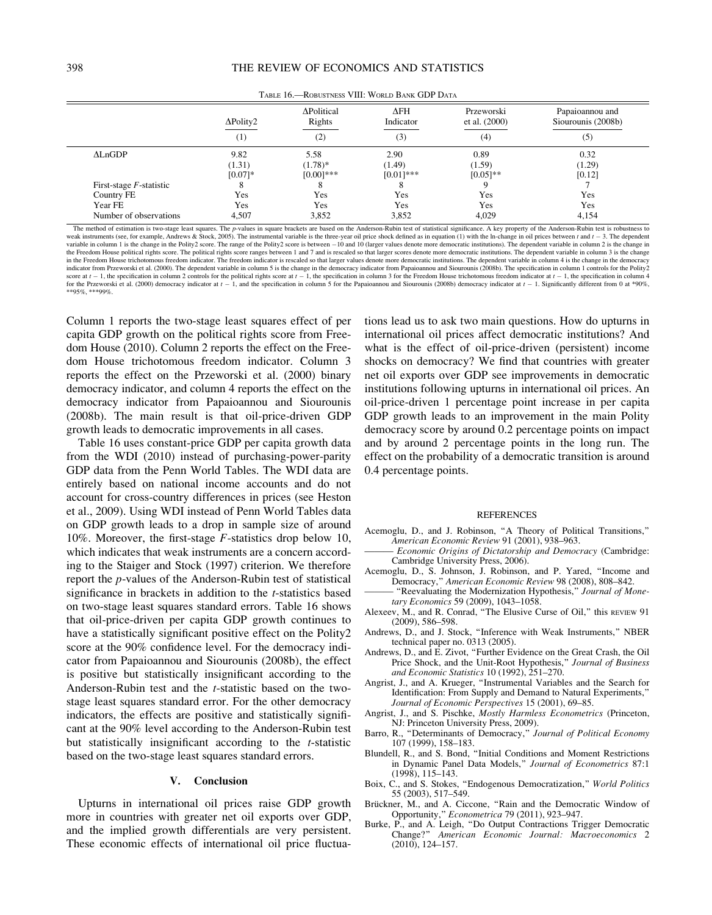|                            | $\Delta$ Polity2    | ΔPolitical<br>Rights      | $\Delta$ FH<br>Indicator | Przeworski<br>et al. $(2000)$ | Papaioannou and<br>Siourounis (2008b) |
|----------------------------|---------------------|---------------------------|--------------------------|-------------------------------|---------------------------------------|
|                            | (1)                 | (2)                       | (3)                      | (4)                           | (5)                                   |
| $\Delta$ LnGDP             | 9.82                | 5.58                      | 2.90                     | 0.89                          | 0.32                                  |
|                            | (1.31)<br>$[0.07]*$ | $(1.78)*$<br>$[0.00]$ *** | (1.49)<br>$[0.01]$ ***   | (1.59)<br>$[0.05]$ **         | (1.29)<br>[0.12]                      |
| First-stage $F$ -statistic | 8                   | 8                         |                          |                               |                                       |
| Country FE                 | Yes                 | Yes                       | Yes                      | Yes                           | Yes                                   |
| Year FE                    | Yes                 | Yes                       | Yes                      | Yes                           | Yes                                   |
| Number of observations     | 4,507               | 3,852                     | 3,852                    | 4,029                         | 4,154                                 |

TABLE 16.—ROBUSTNESS VIII: WORLD BANK GDP DATA

The method of estimation is two-stage least squares. The p-values in square brackets are based on the Anderson-Rubin test of statistical significance. A key property of the Anderson-Rubin test is robustness to reak instru weak instruments (see, for example, Andrews & Stock, 2005). The instrumental variable is the three-year oil price shock defined as in equation (1) with the In-change in oil prices between t and t - 3. The dependent<br>variabl the Freedom House political rights score. The political rights score ranges between 1 and 7 and is rescaled so that larger scores denote more democratic institutions. The dependent variable in column 3 is the change in the Freedom House trichotomous freedom indicator. The freedom indicator is rescaled so that larger values denote more democratic institutions. The dependent variable in column 4 is the change in the democracy in dicator from Przeworski et al. (2000). The dependent variable in column 5 is the change in the democracy indicator from Papaioannou and Siourounis (2008b). The specification in column 1 controls for the Polity2 score at  $t-1$ , the specification in column 2 controls for the political rights score at  $t-1$ , the specification in column 3 for the Freedom House trichotomous freedom indicator at  $t-1$ , the specification in column 4 for the Przeworski et al. (2000) democracy indicator at  $t-1$ , and the specification in column 5 for the Papaioannou and Siourounis (2008b) democracy indicator at  $t-1$ . Significantly different from 0 at \*90%, \*\*95%, \*\*\*99%.

Column 1 reports the two-stage least squares effect of per capita GDP growth on the political rights score from Freedom House (2010). Column 2 reports the effect on the Freedom House trichotomous freedom indicator. Column 3 reports the effect on the Przeworski et al. (2000) binary democracy indicator, and column 4 reports the effect on the democracy indicator from Papaioannou and Siourounis (2008b). The main result is that oil-price-driven GDP growth leads to democratic improvements in all cases.

Table 16 uses constant-price GDP per capita growth data from the WDI (2010) instead of purchasing-power-parity GDP data from the Penn World Tables. The WDI data are entirely based on national income accounts and do not account for cross-country differences in prices (see Heston et al., 2009). Using WDI instead of Penn World Tables data on GDP growth leads to a drop in sample size of around 10%. Moreover, the first-stage F-statistics drop below 10, which indicates that weak instruments are a concern according to the Staiger and Stock (1997) criterion. We therefore report the p-values of the Anderson-Rubin test of statistical significance in brackets in addition to the *t*-statistics based on two-stage least squares standard errors. Table 16 shows that oil-price-driven per capita GDP growth continues to have a statistically significant positive effect on the Polity2 score at the 90% confidence level. For the democracy indicator from Papaioannou and Siourounis (2008b), the effect is positive but statistically insignificant according to the Anderson-Rubin test and the *t*-statistic based on the twostage least squares standard error. For the other democracy indicators, the effects are positive and statistically significant at the 90% level according to the Anderson-Rubin test but statistically insignificant according to the t-statistic based on the two-stage least squares standard errors.

# V. Conclusion

Upturns in international oil prices raise GDP growth more in countries with greater net oil exports over GDP, and the implied growth differentials are very persistent. These economic effects of international oil price fluctuations lead us to ask two main questions. How do upturns in international oil prices affect democratic institutions? And what is the effect of oil-price-driven (persistent) income shocks on democracy? We find that countries with greater net oil exports over GDP see improvements in democratic institutions following upturns in international oil prices. An oil-price-driven 1 percentage point increase in per capita GDP growth leads to an improvement in the main Polity democracy score by around 0.2 percentage points on impact and by around 2 percentage points in the long run. The effect on the probability of a democratic transition is around 0.4 percentage points.

#### REFERENCES

- Acemoglu, D., and J. Robinson, ''A Theory of Political Transitions,'' American Economic Review 91 (2001), 938–963.
- Economic Origins of Dictatorship and Democracy (Cambridge: Cambridge University Press, 2006).
- Acemoglu, D., S. Johnson, J. Robinson, and P. Yared, ''Income and Democracy,'' American Economic Review 98 (2008), 808–842.
- "Reevaluating the Modernization Hypothesis," Journal of Monetary Economics 59 (2009), 1043–1058.
- Alexeev, M., and R. Conrad, ''The Elusive Curse of Oil,'' this REVIEW 91 (2009), 586–598.
- Andrews, D., and J. Stock, ''Inference with Weak Instruments,'' NBER technical paper no. 0313 (2005).
- Andrews, D., and E. Zivot, ''Further Evidence on the Great Crash, the Oil Price Shock, and the Unit-Root Hypothesis," Journal of Business and Economic Statistics 10 (1992), 251–270.
- Angrist, J., and A. Krueger, ''Instrumental Variables and the Search for Identification: From Supply and Demand to Natural Experiments,'' Journal of Economic Perspectives 15 (2001), 69–85.
- Angrist, J., and S. Pischke, *Mostly Harmless Econometrics* (Princeton, NJ: Princeton University Press, 2009).
- Barro, R., "Determinants of Democracy," Journal of Political Economy 107 (1999), 158–183.
- Blundell, R., and S. Bond, ''Initial Conditions and Moment Restrictions in Dynamic Panel Data Models," Journal of Econometrics 87:1 (1998), 115–143.
- Boix, C., and S. Stokes, ''Endogenous Democratization,'' World Politics 55 (2003), 517–549.
- Brückner, M., and A. Ciccone, "Rain and the Democratic Window of Opportunity,'' Econometrica 79 (2011), 923–947.
- Burke, P., and A. Leigh, ''Do Output Contractions Trigger Democratic Change?'' American Economic Journal: Macroeconomics 2 (2010), 124–157.